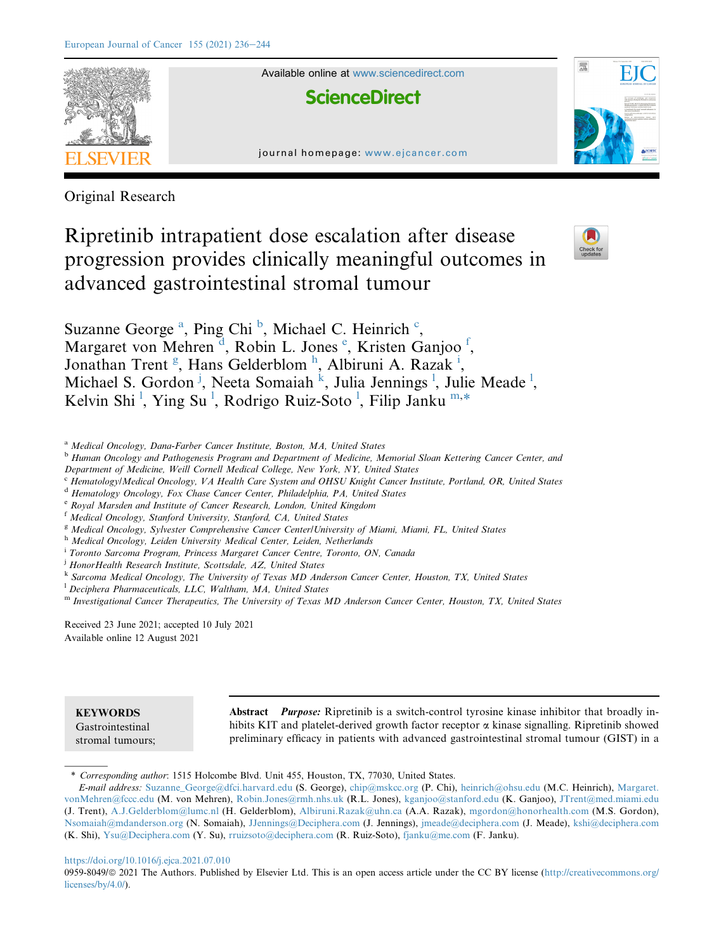

Original Research

# Ripretinib intrapatient dose escalation after disease progression provides clinically meaningful outcomes in advanced gastrointestinal stromal tumour



Suz[a](#page-0-0)nne George<sup>a</sup>, Ping Chi<sup>[b](#page-0-1)</sup>, Mi[c](#page-0-2)hael C. Heinrich<sup>c</sup>, Margaret von Mehren<sup>[d](#page-0-3)</sup>, Robin L. Jon[e](#page-0-4)s<sup>e</sup>, Kristen Ganjoo<sup>[f](#page-0-5)</sup>, Jonathan Trent<sup>[g](#page-0-6)</sup>, Hans Gelderblom<sup>[h](#page-0-7)</sup>, Alb[i](#page-0-8)runi A. Razak<sup>i</sup>, Michael S. Gordon<sup>[j](#page-0-9)</sup>, Neeta Somaiah <sup>[k](#page-0-10)</sup>, Ju[l](#page-0-11)ia Jennings<sup>1</sup>, Julie Meade<sup>1</sup>, Ke[l](#page-0-11)vin Shi<sup>1</sup>, Ying Su<sup>1</sup>, Rodrigo Ruiz-Soto<sup>1</sup>, Filip Janku<sup>[m,](#page-0-12)[\\*](#page-0-13)</sup>

<span id="page-0-0"></span><sup>a</sup> Medical Oncology, Dana-Farber Cancer Institute, Boston, MA, United States

<span id="page-0-1"></span><sup>b</sup> Human Oncology and Pathogenesis Program and Department of Medicine, Memorial Sloan Kettering Cancer Center, and

- Department of Medicine, Weill Cornell Medical College, New York, NY, United States
- <span id="page-0-2"></span><sup>c</sup> Hematology/Medical Oncology, VA Health Care System and OHSU Knight Cancer Institute, Portland, OR, United States
- <span id="page-0-3"></span><sup>d</sup> Hematology Oncology, Fox Chase Cancer Center, Philadelphia, PA, United States
- <span id="page-0-4"></span><sup>e</sup> Royal Marsden and Institute of Cancer Research, London, United Kingdom

<span id="page-0-5"></span><sup>f</sup> Medical Oncology, Stanford University, Stanford, CA, United States

- <span id="page-0-6"></span><sup>g</sup> Medical Oncology, Sylvester Comprehensive Cancer Center/University of Miami, Miami, FL, United States
- <span id="page-0-7"></span>h Medical Oncology, Leiden University Medical Center, Leiden, Netherlands
- <span id="page-0-8"></span>i Toronto Sarcoma Program, Princess Margaret Cancer Centre, Toronto, ON, Canada

<span id="page-0-9"></span><sup>j</sup> HonorHealth Research Institute, Scottsdale, AZ, United States

<span id="page-0-10"></span><sup>k</sup> Sarcoma Medical Oncology, The University of Texas MD Anderson Cancer Center, Houston, TX, United States

<span id="page-0-11"></span> $^{1}$  Deciphera Pharmaceuticals, LLC, Waltham, MA, United States

<span id="page-0-12"></span>m Investigational Cancer Therapeutics, The University of Texas MD Anderson Cancer Center, Houston, TX, United States

Received 23 June 2021; accepted 10 July 2021 Available online 12 August 2021

# **KEYWORDS**

Gastrointestinal stromal tumours;

Abstract *Purpose:* Ripretinib is a switch-control tyrosine kinase inhibitor that broadly inhibits KIT and platelet-derived growth factor receptor  $\alpha$  kinase signalling. Ripretinib showed preliminary efficacy in patients with advanced gastrointestinal stromal tumour (GIST) in a

#### <https://doi.org/10.1016/j.ejca.2021.07.010>

0959-8049/@ 2021 The Authors. Published by Elsevier Ltd. This is an open access article under the CC BY license [\(http://creativecommons.org/](http://creativecommons.org/licenses/by/4.0/) [licenses/by/4.0/](http://creativecommons.org/licenses/by/4.0/)).

<span id="page-0-13"></span><sup>\*</sup> Corresponding author: 1515 Holcombe Blvd. Unit 455, Houston, TX, 77030, United States.

E-mail address: [Suzanne\\_George@dfci.harvard.edu](mailto:Suzanne_George@dfci.harvard.edu) (S. George), [chip@mskcc.org](mailto:chip@mskcc.org) (P. Chi), [heinrich@ohsu.edu](mailto:heinrich@ohsu.edu) (M.C. Heinrich), [Margaret.](mailto:Margaret.vonMehren@fccc.edu) [vonMehren@fccc.edu](mailto:Margaret.vonMehren@fccc.edu) (M. von Mehren), [Robin.Jones@rmh.nhs.uk](mailto:Robin.Jones@rmh.nhs.uk) (R.L. Jones), [kganjoo@stanford.edu](mailto:kganjoo@stanford.edu) (K. Ganjoo), [JTrent@med.miami.edu](mailto:JTrent@med.miami.edu) (J. Trent), [A.J.Gelderblom@lumc.nl](mailto:A.J.Gelderblom@lumc.nl) (H. Gelderblom), [Albiruni.Razak@uhn.ca](mailto:Albiruni.Razak@uhn.ca) (A.A. Razak), [mgordon@honorhealth.com](mailto:mgordon@honorhealth.com) (M.S. Gordon), [Nsomaiah@mdanderson.org](mailto:Nsomaiah@mdanderson.org) (N. Somaiah), [JJennings@Deciphera.com](mailto:JJennings@Deciphera.com) (J. Jennings), [jmeade@deciphera.com](mailto:jmeade@deciphera.com) (J. Meade), [kshi@deciphera.com](mailto:kshi@deciphera.com) (K. Shi), [Ysu@Deciphera.com](mailto:Ysu@Deciphera.com) (Y. Su), [rruizsoto@deciphera.com](mailto:rruizsoto@deciphera.com) (R. Ruiz-Soto), [fjanku@me.com](mailto:fjanku@me.com) (F. Janku).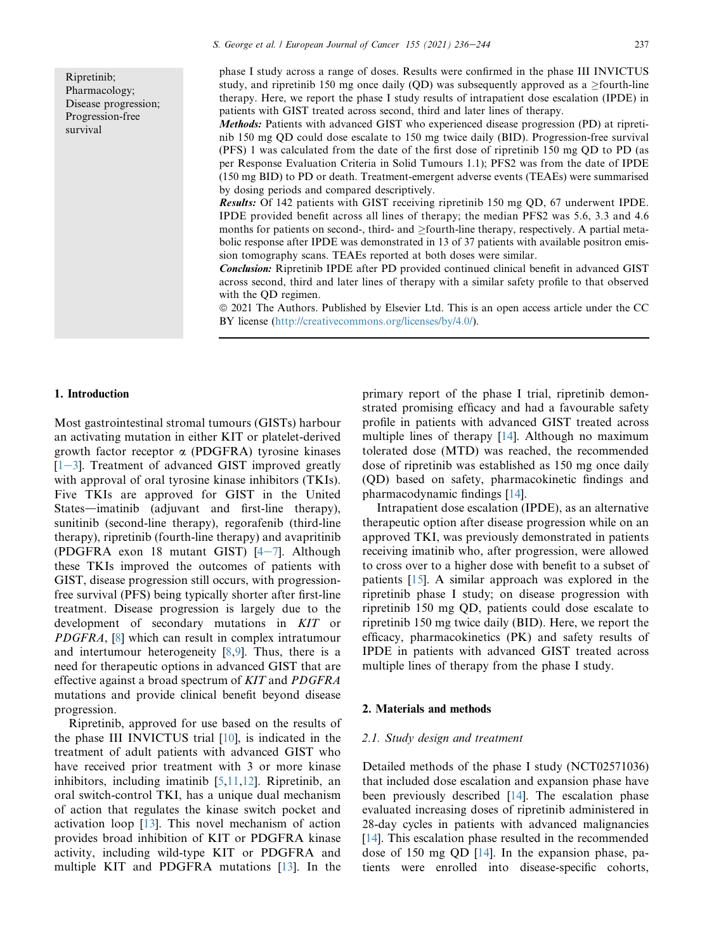Ripretinib; Pharmacology; Disease progression; Progression-free survival

phase I study across a range of doses. Results were confirmed in the phase III INVICTUS study, and ripretinib 150 mg once daily (QD) was subsequently approved as a  $\geq$  fourth-line therapy. Here, we report the phase I study results of intrapatient dose escalation (IPDE) in patients with GIST treated across second, third and later lines of therapy.

Methods: Patients with advanced GIST who experienced disease progression (PD) at ripretinib 150 mg QD could dose escalate to 150 mg twice daily (BID). Progression-free survival (PFS) 1 was calculated from the date of the first dose of ripretinib 150 mg QD to PD (as per Response Evaluation Criteria in Solid Tumours 1.1); PFS2 was from the date of IPDE (150 mg BID) to PD or death. Treatment-emergent adverse events (TEAEs) were summarised by dosing periods and compared descriptively.

Results: Of 142 patients with GIST receiving ripretinib 150 mg QD, 67 underwent IPDE. IPDE provided benefit across all lines of therapy; the median PFS2 was 5.6, 3.3 and 4.6 months for patients on second-, third- and  $\geq$  fourth-line therapy, respectively. A partial metabolic response after IPDE was demonstrated in 13 of 37 patients with available positron emission tomography scans. TEAEs reported at both doses were similar.

Conclusion: Ripretinib IPDE after PD provided continued clinical benefit in advanced GIST across second, third and later lines of therapy with a similar safety profile to that observed with the QD regimen.

ª 2021 The Authors. Published by Elsevier Ltd. This is an open access article under the CC BY license (<http://creativecommons.org/licenses/by/4.0/>).

# 1. Introduction

Most gastrointestinal stromal tumours (GISTs) harbour an activating mutation in either KIT or platelet-derived growth factor receptor  $\alpha$  (PDGFRA) tyrosine kinases  $[1-3]$  $[1-3]$  $[1-3]$ . Treatment of advanced GIST improved greatly with approval of oral tyrosine kinase inhibitors (TKIs). Five TKIs are approved for GIST in the United States—imatinib (adjuvant and first-line therapy), sunitinib (second-line therapy), regorafenib (third-line therapy), ripretinib (fourth-line therapy) and avapritinib (PDGFRA exon 18 mutant GIST)  $[4-7]$  $[4-7]$  $[4-7]$  $[4-7]$  $[4-7]$ . Although these TKIs improved the outcomes of patients with GIST, disease progression still occurs, with progressionfree survival (PFS) being typically shorter after first-line treatment. Disease progression is largely due to the development of secondary mutations in KIT or PDGFRA, [\[8](#page-8-0)] which can result in complex intratumour and intertumour heterogeneity  $[8,9]$  $[8,9]$  $[8,9]$ . Thus, there is a need for therapeutic options in advanced GIST that are effective against a broad spectrum of KIT and PDGFRA mutations and provide clinical benefit beyond disease progression.

Ripretinib, approved for use based on the results of the phase III INVICTUS trial [[10\]](#page-8-2), is indicated in the treatment of adult patients with advanced GIST who have received prior treatment with 3 or more kinase inhibitors, including imatinib [[5,](#page-7-2)[11,](#page-8-3)[12](#page-8-4)]. Ripretinib, an oral switch-control TKI, has a unique dual mechanism of action that regulates the kinase switch pocket and activation loop [[13\]](#page-8-5). This novel mechanism of action provides broad inhibition of KIT or PDGFRA kinase activity, including wild-type KIT or PDGFRA and multiple KIT and PDGFRA mutations [[13\]](#page-8-5). In the primary report of the phase I trial, ripretinib demonstrated promising efficacy and had a favourable safety profile in patients with advanced GIST treated across multiple lines of therapy [\[14](#page-8-6)]. Although no maximum tolerated dose (MTD) was reached, the recommended dose of ripretinib was established as 150 mg once daily (QD) based on safety, pharmacokinetic findings and pharmacodynamic findings [[14\]](#page-8-6).

Intrapatient dose escalation (IPDE), as an alternative therapeutic option after disease progression while on an approved TKI, was previously demonstrated in patients receiving imatinib who, after progression, were allowed to cross over to a higher dose with benefit to a subset of patients [\[15](#page-8-7)]. A similar approach was explored in the ripretinib phase I study; on disease progression with ripretinib 150 mg QD, patients could dose escalate to ripretinib 150 mg twice daily (BID). Here, we report the efficacy, pharmacokinetics (PK) and safety results of IPDE in patients with advanced GIST treated across multiple lines of therapy from the phase I study.

# 2. Materials and methods

#### 2.1. Study design and treatment

Detailed methods of the phase I study (NCT02571036) that included dose escalation and expansion phase have been previously described [[14\]](#page-8-6). The escalation phase evaluated increasing doses of ripretinib administered in 28-day cycles in patients with advanced malignancies [\[14](#page-8-6)]. This escalation phase resulted in the recommended dose of 150 mg QD [[14\]](#page-8-6). In the expansion phase, patients were enrolled into disease-specific cohorts,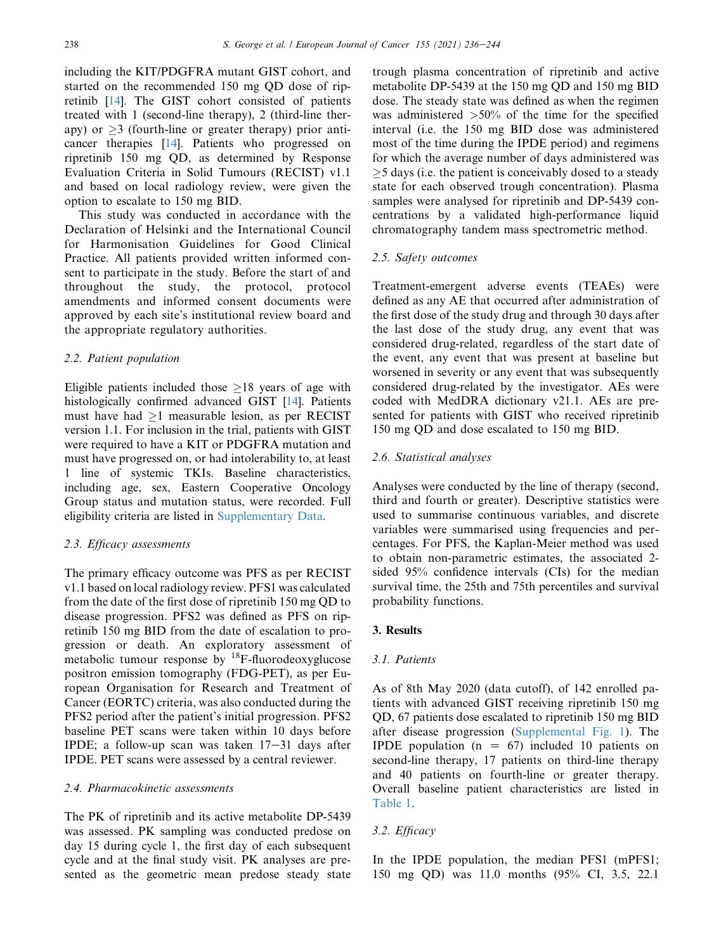including the KIT/PDGFRA mutant GIST cohort, and started on the recommended 150 mg QD dose of ripretinib [[14\]](#page-8-6). The GIST cohort consisted of patients treated with 1 (second-line therapy), 2 (third-line therapy) or  $>3$  (fourth-line or greater therapy) prior anticancer therapies [[14\]](#page-8-6). Patients who progressed on ripretinib 150 mg QD, as determined by Response Evaluation Criteria in Solid Tumours (RECIST) v1.1 and based on local radiology review, were given the option to escalate to 150 mg BID.

This study was conducted in accordance with the Declaration of Helsinki and the International Council for Harmonisation Guidelines for Good Clinical Practice. All patients provided written informed consent to participate in the study. Before the start of and throughout the study, the protocol, protocol amendments and informed consent documents were approved by each site's institutional review board and the appropriate regulatory authorities.

# 2.2. Patient population

Eligible patients included those  $\geq 18$  years of age with histologically confirmed advanced GIST [[14\]](#page-8-6). Patients must have had  $\geq 1$  measurable lesion, as per RECIST version 1.1. For inclusion in the trial, patients with GIST were required to have a KIT or PDGFRA mutation and must have progressed on, or had intolerability to, at least 1 line of systemic TKIs. Baseline characteristics, including age, sex, Eastern Cooperative Oncology Group status and mutation status, were recorded. Full eligibility criteria are listed in Supplementary Data.

## 2.3. Efficacy assessments

The primary efficacy outcome was PFS as per RECIST v1.1 based on local radiology review. PFS1 was calculated from the date of the first dose of ripretinib 150 mg QD to disease progression. PFS2 was defined as PFS on ripretinib 150 mg BID from the date of escalation to progression or death. An exploratory assessment of metabolic tumour response by  $^{18}$ F-fluorodeoxyglucose positron emission tomography (FDG-PET), as per European Organisation for Research and Treatment of Cancer (EORTC) criteria, was also conducted during the PFS2 period after the patient's initial progression. PFS2 baseline PET scans were taken within 10 days before IPDE; a follow-up scan was taken  $17-31$  days after IPDE. PET scans were assessed by a central reviewer.

# 2.4. Pharmacokinetic assessments

The PK of ripretinib and its active metabolite DP-5439 was assessed. PK sampling was conducted predose on day 15 during cycle 1, the first day of each subsequent cycle and at the final study visit. PK analyses are presented as the geometric mean predose steady state trough plasma concentration of ripretinib and active metabolite DP-5439 at the 150 mg QD and 150 mg BID dose. The steady state was defined as when the regimen was administered  $>50\%$  of the time for the specified interval (i.e. the 150 mg BID dose was administered most of the time during the IPDE period) and regimens for which the average number of days administered was 5 days (i.e. the patient is conceivably dosed to a steady state for each observed trough concentration). Plasma samples were analysed for ripretinib and DP-5439 concentrations by a validated high-performance liquid chromatography tandem mass spectrometric method.

## 2.5. Safety outcomes

Treatment-emergent adverse events (TEAEs) were defined as any AE that occurred after administration of the first dose of the study drug and through 30 days after the last dose of the study drug, any event that was considered drug-related, regardless of the start date of the event, any event that was present at baseline but worsened in severity or any event that was subsequently considered drug-related by the investigator. AEs were coded with MedDRA dictionary v21.1. AEs are presented for patients with GIST who received ripretinib 150 mg QD and dose escalated to 150 mg BID.

# 2.6. Statistical analyses

Analyses were conducted by the line of therapy (second, third and fourth or greater). Descriptive statistics were used to summarise continuous variables, and discrete variables were summarised using frequencies and percentages. For PFS, the Kaplan-Meier method was used to obtain non-parametric estimates, the associated 2 sided 95% confidence intervals (CIs) for the median survival time, the 25th and 75th percentiles and survival probability functions.

## 3. Results

# 3.1. Patients

As of 8th May 2020 (data cutoff), of 142 enrolled patients with advanced GIST receiving ripretinib 150 mg QD, 67 patients dose escalated to ripretinib 150 mg BID after disease progression (Supplemental Fig. 1). The IPDE population  $(n = 67)$  included 10 patients on second-line therapy, 17 patients on third-line therapy and 40 patients on fourth-line or greater therapy. Overall baseline patient characteristics are listed in [Table 1](#page-3-0).

# 3.2. Efficacy

In the IPDE population, the median PFS1 (mPFS1; 150 mg QD) was 11.0 months (95% CI, 3.5, 22.1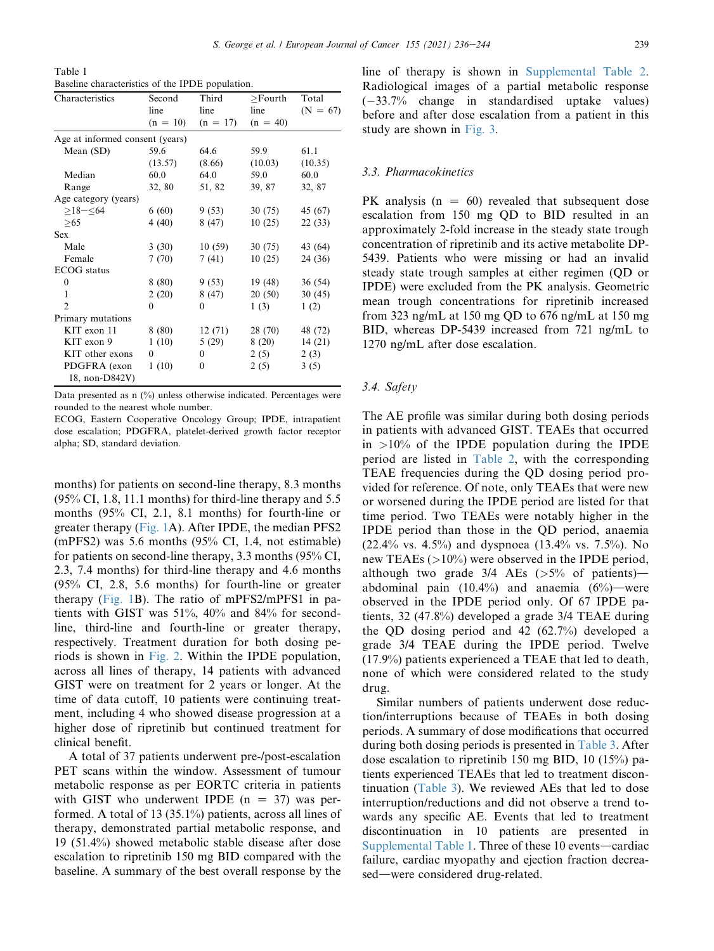<span id="page-3-0"></span>Table 1 Baseline characteristics of the IPDE population.

| Characteristics                 | Second     | Third        | >Fourth    | Total      |
|---------------------------------|------------|--------------|------------|------------|
|                                 | line       | line         | line       | $(N = 67)$ |
|                                 | $(n = 10)$ | $(n = 17)$   | $(n = 40)$ |            |
| Age at informed consent (years) |            |              |            |            |
| Mean (SD)                       | 59.6       | 64.6         | 59.9       | 61.1       |
|                                 | (13.57)    | (8.66)       | (10.03)    | (10.35)    |
| Median                          | 60.0       | 64.0         | 59.0       | 60.0       |
| Range                           | 32, 80     | 51, 82       | 39, 87     | 32, 87     |
| Age category (years)            |            |              |            |            |
| $>18 - 64$                      | 6(60)      | 9(53)        | 30(75)     | 45 (67)    |
| >65                             | 4(40)      | 8(47)        | 10(25)     | 22 (33)    |
| <b>Sex</b>                      |            |              |            |            |
| Male                            | 3(30)      | 10(59)       | 30(75)     | 43 (64)    |
| Female                          | 7(70)      | 7(41)        | 10(25)     | 24 (36)    |
| <b>ECOG</b> status              |            |              |            |            |
| $\theta$                        | 8(80)      | 9(53)        | 19 (48)    | 36 (54)    |
| 1                               | 2(20)      | 8 (47)       | 20(50)     | 30(45)     |
| $\mathfrak{D}$                  | 0          | $\theta$     | 1(3)       | 1(2)       |
| Primary mutations               |            |              |            |            |
| KIT exon 11                     | 8 (80)     | 12(71)       | 28 (70)    | 48 (72)    |
| KIT exon 9                      | 1(10)      | 5(29)        | 8(20)      | 14(21)     |
| KIT other exons                 | 0          | $\mathbf{0}$ | 2(5)       | 2(3)       |
| PDGFRA (exon                    | 1(10)      | 0            | 2(5)       | 3(5)       |
| 18, non-D842V)                  |            |              |            |            |

Data presented as n (%) unless otherwise indicated. Percentages were rounded to the nearest whole number.

ECOG, Eastern Cooperative Oncology Group; IPDE, intrapatient dose escalation; PDGFRA, platelet-derived growth factor receptor alpha; SD, standard deviation.

months) for patients on second-line therapy, 8.3 months (95% CI, 1.8, 11.1 months) for third-line therapy and 5.5 months (95% CI, 2.1, 8.1 months) for fourth-line or greater therapy ([Fig. 1A](#page-4-0)). After IPDE, the median PFS2 (mPFS2) was 5.6 months (95% CI, 1.4, not estimable) for patients on second-line therapy, 3.3 months (95% CI, 2.3, 7.4 months) for third-line therapy and 4.6 months (95% CI, 2.8, 5.6 months) for fourth-line or greater therapy ([Fig. 1](#page-4-0)B). The ratio of mPFS2/mPFS1 in patients with GIST was 51%, 40% and 84% for secondline, third-line and fourth-line or greater therapy, respectively. Treatment duration for both dosing periods is shown in [Fig. 2.](#page-5-0) Within the IPDE population, across all lines of therapy, 14 patients with advanced GIST were on treatment for 2 years or longer. At the time of data cutoff, 10 patients were continuing treatment, including 4 who showed disease progression at a higher dose of ripretinib but continued treatment for clinical benefit.

A total of 37 patients underwent pre-/post-escalation PET scans within the window. Assessment of tumour metabolic response as per EORTC criteria in patients with GIST who underwent IPDE  $(n = 37)$  was performed. A total of 13 (35.1%) patients, across all lines of therapy, demonstrated partial metabolic response, and 19 (51.4%) showed metabolic stable disease after dose escalation to ripretinib 150 mg BID compared with the baseline. A summary of the best overall response by the line of therapy is shown in Supplemental Table 2. Radiological images of a partial metabolic response (33.7% change in standardised uptake values) before and after dose escalation from a patient in this study are shown in [Fig. 3](#page-5-1).

# 3.3. Pharmacokinetics

PK analysis  $(n = 60)$  revealed that subsequent dose escalation from 150 mg QD to BID resulted in an approximately 2-fold increase in the steady state trough concentration of ripretinib and its active metabolite DP-5439. Patients who were missing or had an invalid steady state trough samples at either regimen (QD or IPDE) were excluded from the PK analysis. Geometric mean trough concentrations for ripretinib increased from 323 ng/mL at 150 mg QD to 676 ng/mL at 150 mg BID, whereas DP-5439 increased from 721 ng/mL to 1270 ng/mL after dose escalation.

### 3.4. Safety

The AE profile was similar during both dosing periods in patients with advanced GIST. TEAEs that occurred in  $>10\%$  of the IPDE population during the IPDE period are listed in [Table 2](#page-6-0), with the corresponding TEAE frequencies during the QD dosing period provided for reference. Of note, only TEAEs that were new or worsened during the IPDE period are listed for that time period. Two TEAEs were notably higher in the IPDE period than those in the QD period, anaemia (22.4% vs. 4.5%) and dyspnoea (13.4% vs. 7.5%). No new TEAEs (>10%) were observed in the IPDE period, although two grade  $3/4$  AEs ( $>5\%$  of patients)abdominal pain  $(10.4\%)$  and anaemia  $(6\%)$ —were observed in the IPDE period only. Of 67 IPDE patients, 32 (47.8%) developed a grade 3/4 TEAE during the QD dosing period and 42 (62.7%) developed a grade 3/4 TEAE during the IPDE period. Twelve (17.9%) patients experienced a TEAE that led to death, none of which were considered related to the study drug.

Similar numbers of patients underwent dose reduction/interruptions because of TEAEs in both dosing periods. A summary of dose modifications that occurred during both dosing periods is presented in [Table 3.](#page-6-1) After dose escalation to ripretinib 150 mg BID, 10 (15%) patients experienced TEAEs that led to treatment discontinuation ([Table 3\)](#page-6-1). We reviewed AEs that led to dose interruption/reductions and did not observe a trend towards any specific AE. Events that led to treatment discontinuation in 10 patients are presented in Supplemental Table 1. Three of these  $10$  events—cardiac failure, cardiac myopathy and ejection fraction decreased—were considered drug-related.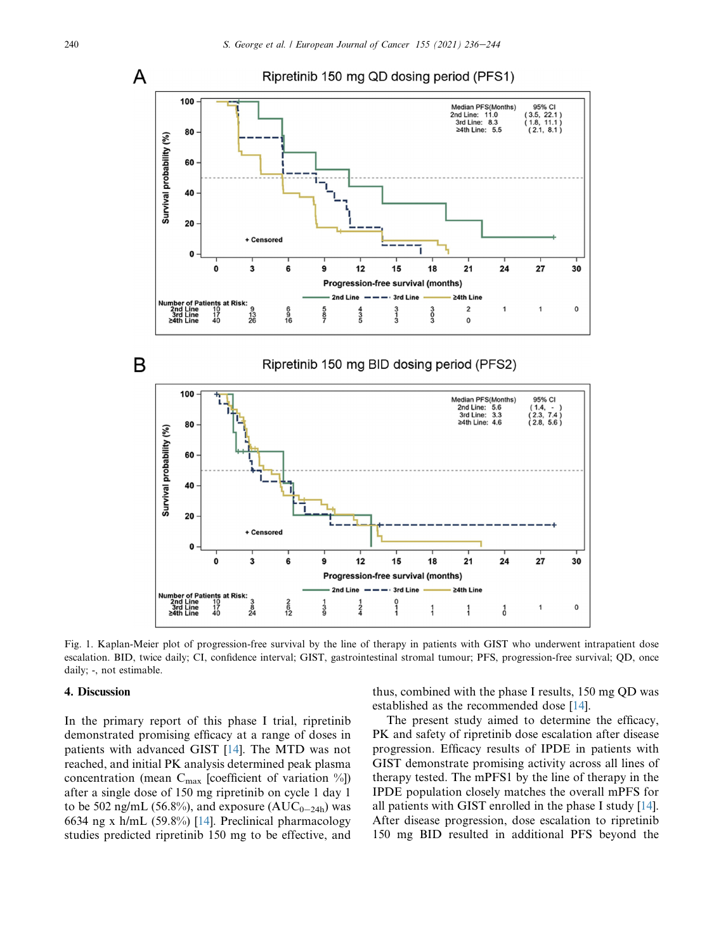<span id="page-4-0"></span>

Fig. 1. Kaplan-Meier plot of progression-free survival by the line of therapy in patients with GIST who underwent intrapatient dose escalation. BID, twice daily; CI, confidence interval; GIST, gastrointestinal stromal tumour; PFS, progression-free survival; QD, once daily; -, not estimable.

# 4. Discussion

In the primary report of this phase I trial, ripretinib demonstrated promising efficacy at a range of doses in patients with advanced GIST [[14\]](#page-8-6). The MTD was not reached, and initial PK analysis determined peak plasma concentration (mean  $C_{\text{max}}$  [coefficient of variation %]) after a single dose of 150 mg ripretinib on cycle 1 day 1 to be 502 ng/mL (56.8%), and exposure ( $AUC_{0-24h}$ ) was 6634 ng x h/mL (59.8%) [\[14](#page-8-6)]. Preclinical pharmacology studies predicted ripretinib 150 mg to be effective, and

thus, combined with the phase I results, 150 mg QD was established as the recommended dose [[14\]](#page-8-6).

The present study aimed to determine the efficacy, PK and safety of ripretinib dose escalation after disease progression. Efficacy results of IPDE in patients with GIST demonstrate promising activity across all lines of therapy tested. The mPFS1 by the line of therapy in the IPDE population closely matches the overall mPFS for all patients with GIST enrolled in the phase I study [[14\]](#page-8-6). After disease progression, dose escalation to ripretinib 150 mg BID resulted in additional PFS beyond the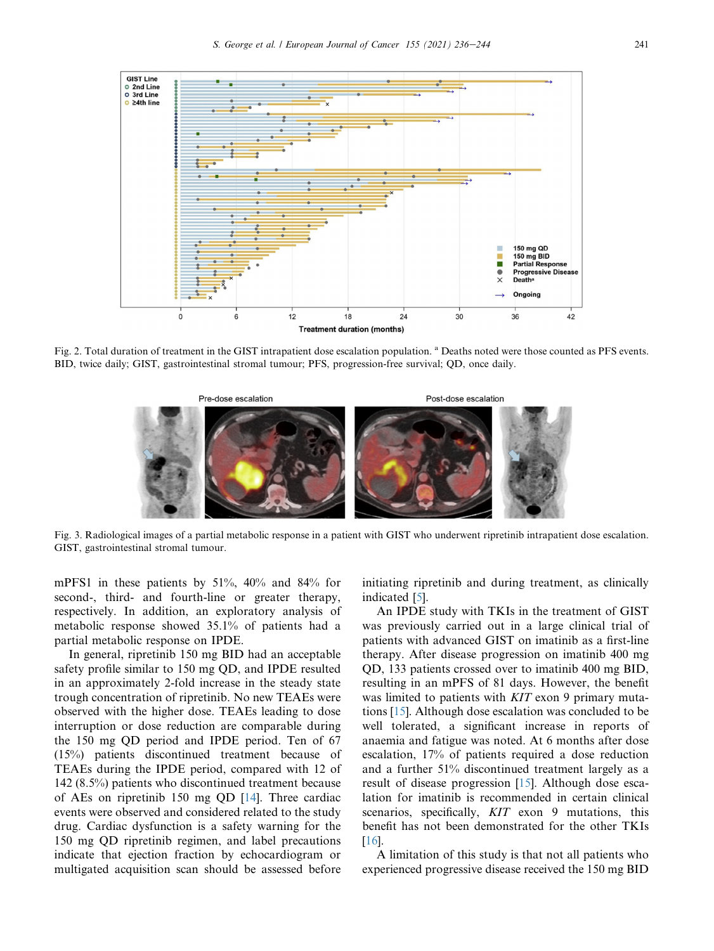<span id="page-5-0"></span>

<span id="page-5-1"></span>Fig. 2. Total duration of treatment in the GIST intrapatient dose escalation population. <sup>a</sup> Deaths noted were those counted as PFS events. BID, twice daily; GIST, gastrointestinal stromal tumour; PFS, progression-free survival; QD, once daily.



Fig. 3. Radiological images of a partial metabolic response in a patient with GIST who underwent ripretinib intrapatient dose escalation. GIST, gastrointestinal stromal tumour.

mPFS1 in these patients by 51%, 40% and 84% for second-, third- and fourth-line or greater therapy, respectively. In addition, an exploratory analysis of metabolic response showed 35.1% of patients had a partial metabolic response on IPDE.

In general, ripretinib 150 mg BID had an acceptable safety profile similar to 150 mg QD, and IPDE resulted in an approximately 2-fold increase in the steady state trough concentration of ripretinib. No new TEAEs were observed with the higher dose. TEAEs leading to dose interruption or dose reduction are comparable during the 150 mg QD period and IPDE period. Ten of 67 (15%) patients discontinued treatment because of TEAEs during the IPDE period, compared with 12 of 142 (8.5%) patients who discontinued treatment because of AEs on ripretinib 150 mg QD [[14\]](#page-8-6). Three cardiac events were observed and considered related to the study drug. Cardiac dysfunction is a safety warning for the 150 mg QD ripretinib regimen, and label precautions indicate that ejection fraction by echocardiogram or multigated acquisition scan should be assessed before initiating ripretinib and during treatment, as clinically indicated [\[5](#page-7-2)].

An IPDE study with TKIs in the treatment of GIST was previously carried out in a large clinical trial of patients with advanced GIST on imatinib as a first-line therapy. After disease progression on imatinib 400 mg QD, 133 patients crossed over to imatinib 400 mg BID, resulting in an mPFS of 81 days. However, the benefit was limited to patients with KIT exon 9 primary mutations [\[15](#page-8-7)]. Although dose escalation was concluded to be well tolerated, a significant increase in reports of anaemia and fatigue was noted. At 6 months after dose escalation, 17% of patients required a dose reduction and a further 51% discontinued treatment largely as a result of disease progression [[15\]](#page-8-7). Although dose escalation for imatinib is recommended in certain clinical scenarios, specifically, KIT exon 9 mutations, this benefit has not been demonstrated for the other TKIs [\[16](#page-8-8)].

A limitation of this study is that not all patients who experienced progressive disease received the 150 mg BID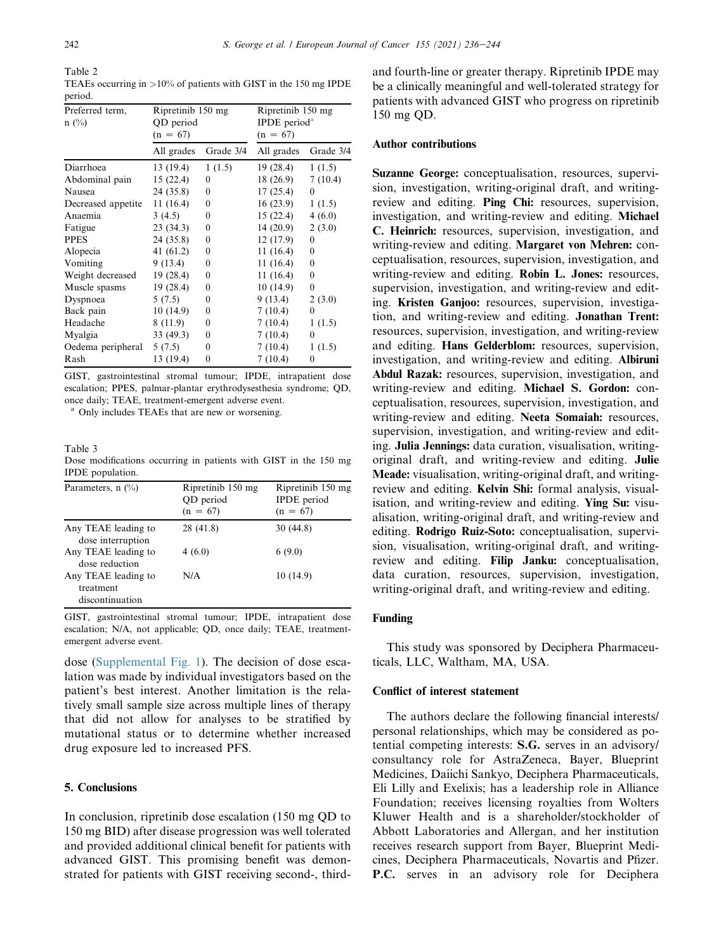<span id="page-6-0"></span>Table 2

TEAEs occurring in >10% of patients with GIST in the 150 mg IPDE period.

| Preferred term,<br>$n \ (\%)$ | Ripretinib 150 mg<br>QD period<br>$(n = 67)$ |           | Ripretinib 150 mg<br>IPDE period <sup>a</sup><br>$(n = 67)$ |           |
|-------------------------------|----------------------------------------------|-----------|-------------------------------------------------------------|-----------|
|                               | All grades                                   | Grade 3/4 | All grades                                                  | Grade 3/4 |
| Diarrhoea                     | 13 (19.4)                                    | 1(1.5)    | 19(28.4)                                                    | 1(1.5)    |
| Abdominal pain                | 15(22.4)                                     | $\theta$  | 18 (26.9)                                                   | 7(10.4)   |
| Nausea                        | 24 (35.8)                                    | $\Omega$  | 17(25.4)                                                    | $\theta$  |
| Decreased appetite            | 11(16.4)                                     | $\theta$  | 16(23.9)                                                    | 1(1.5)    |
| Anaemia                       | 3(4.5)                                       | 0         | 15(22.4)                                                    | 4(6.0)    |
| Fatigue                       | 23(34.3)                                     | 0         | 14 (20.9)                                                   | 2(3.0)    |
| <b>PPES</b>                   | 24(35.8)                                     | $\theta$  | 12 (17.9)                                                   | $\theta$  |
| Alopecia                      | 41 $(61.2)$                                  | $\theta$  | 11(16.4)                                                    | $\theta$  |
| Vomiting                      | 9(13.4)                                      | $\Omega$  | 11 (16.4)                                                   | 0         |
| Weight decreased              | 19(28.4)                                     | 0         | 11 (16.4)                                                   | $\theta$  |
| Muscle spasms                 | 19(28.4)                                     | 0         | 10(14.9)                                                    | $\theta$  |
| Dyspnoea                      | 5(7.5)                                       | 0         | 9(13.4)                                                     | 2(3.0)    |
| Back pain                     | 10(14.9)                                     | $\theta$  | 7(10.4)                                                     | $\theta$  |
| Headache                      | 8(11.9)                                      | 0         | 7(10.4)                                                     | 1(1.5)    |
| Myalgia                       | 33(49.3)                                     | 0         | 7(10.4)                                                     | 0         |
| Oedema peripheral             | 5(7.5)                                       | 0         | 7(10.4)                                                     | 1(1.5)    |
| Rash                          | 13 (19.4)                                    | 0         | 7(10.4)                                                     | 0         |

GIST, gastrointestinal stromal tumour; IPDE, intrapatient dose escalation; PPES, palmar-plantar erythrodysesthesia syndrome; QD, once daily; TEAE, treatment-emergent adverse event.

<sup>a</sup> Only includes TEAEs that are new or worsening.

#### <span id="page-6-1"></span>Table 3

Dose modifications occurring in patients with GIST in the 150 mg IPDE population.

| Parameters, $n$ (%)                                 | Ripretinib 150 mg<br>QD period<br>$(n = 67)$ | Ripretinib 150 mg<br><b>IPDE</b> period<br>$(n = 67)$ |
|-----------------------------------------------------|----------------------------------------------|-------------------------------------------------------|
| Any TEAE leading to<br>dose interruption            | 28 (41.8)                                    | 30(44.8)                                              |
| Any TEAE leading to<br>dose reduction               | 4(6.0)                                       | 6(9.0)                                                |
| Any TEAE leading to<br>treatment<br>discontinuation | N/A                                          | 10(14.9)                                              |

GIST, gastrointestinal stromal tumour; IPDE, intrapatient dose escalation; N/A, not applicable; QD, once daily; TEAE, treatmentemergent adverse event.

dose (Supplemental Fig. 1). The decision of dose escalation was made by individual investigators based on the patient's best interest. Another limitation is the relatively small sample size across multiple lines of therapy that did not allow for analyses to be stratified by mutational status or to determine whether increased drug exposure led to increased PFS.

# 5. Conclusions

In conclusion, ripretinib dose escalation (150 mg QD to 150 mg BID) after disease progression was well tolerated and provided additional clinical benefit for patients with advanced GIST. This promising benefit was demonstrated for patients with GIST receiving second-, thirdand fourth-line or greater therapy. Ripretinib IPDE may be a clinically meaningful and well-tolerated strategy for patients with advanced GIST who progress on ripretinib 150 mg QD.

## Author contributions

Suzanne George: conceptualisation, resources, supervision, investigation, writing-original draft, and writingreview and editing. Ping Chi: resources, supervision, investigation, and writing-review and editing. Michael C. Heinrich: resources, supervision, investigation, and writing-review and editing. Margaret von Mehren: conceptualisation, resources, supervision, investigation, and writing-review and editing. Robin L. Jones: resources, supervision, investigation, and writing-review and editing. Kristen Ganjoo: resources, supervision, investigation, and writing-review and editing. Jonathan Trent: resources, supervision, investigation, and writing-review and editing. Hans Gelderblom: resources, supervision, investigation, and writing-review and editing. Albiruni Abdul Razak: resources, supervision, investigation, and writing-review and editing. Michael S. Gordon: conceptualisation, resources, supervision, investigation, and writing-review and editing. Neeta Somaiah: resources, supervision, investigation, and writing-review and editing. Julia Jennings: data curation, visualisation, writingoriginal draft, and writing-review and editing. Julie Meade: visualisation, writing-original draft, and writingreview and editing. Kelvin Shi: formal analysis, visualisation, and writing-review and editing. Ying Su: visualisation, writing-original draft, and writing-review and editing. Rodrigo Ruiz-Soto: conceptualisation, supervision, visualisation, writing-original draft, and writingreview and editing. Filip Janku: conceptualisation, data curation, resources, supervision, investigation, writing-original draft, and writing-review and editing.

# Funding

This study was sponsored by Deciphera Pharmaceuticals, LLC, Waltham, MA, USA.

## Conflict of interest statement

The authors declare the following financial interests/ personal relationships, which may be considered as potential competing interests: S.G. serves in an advisory/ consultancy role for AstraZeneca, Bayer, Blueprint Medicines, Daiichi Sankyo, Deciphera Pharmaceuticals, Eli Lilly and Exelixis; has a leadership role in Alliance Foundation; receives licensing royalties from Wolters Kluwer Health and is a shareholder/stockholder of Abbott Laboratories and Allergan, and her institution receives research support from Bayer, Blueprint Medicines, Deciphera Pharmaceuticals, Novartis and Pfizer. P.C. serves in an advisory role for Deciphera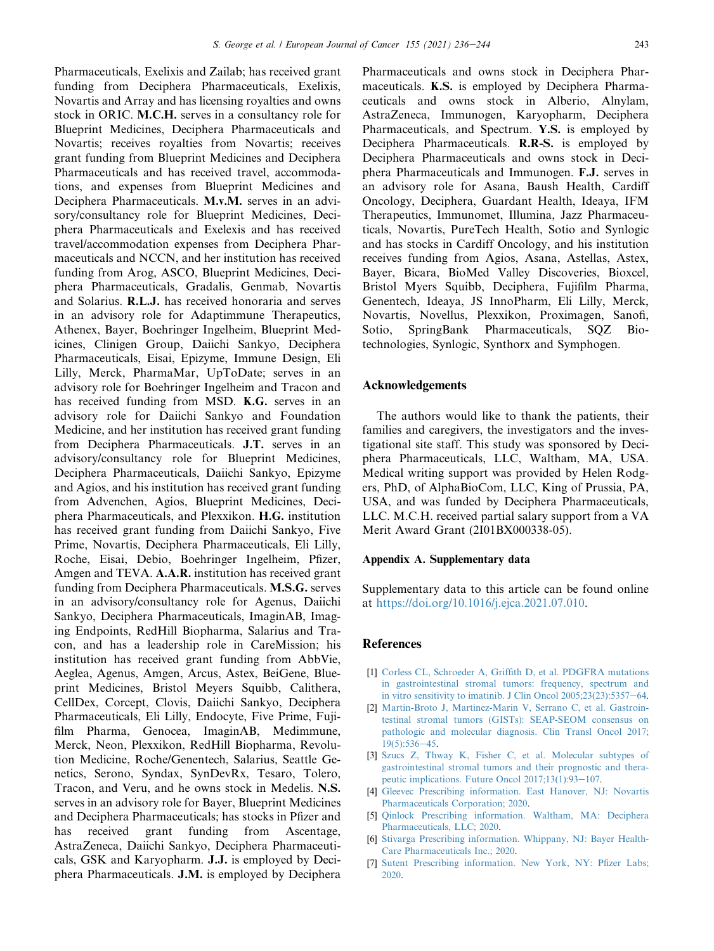Pharmaceuticals, Exelixis and Zailab; has received grant funding from Deciphera Pharmaceuticals, Exelixis, Novartis and Array and has licensing royalties and owns stock in ORIC. M.C.H. serves in a consultancy role for Blueprint Medicines, Deciphera Pharmaceuticals and Novartis; receives royalties from Novartis; receives grant funding from Blueprint Medicines and Deciphera Pharmaceuticals and has received travel, accommodations, and expenses from Blueprint Medicines and Deciphera Pharmaceuticals. M.v.M. serves in an advisory/consultancy role for Blueprint Medicines, Deciphera Pharmaceuticals and Exelexis and has received travel/accommodation expenses from Deciphera Pharmaceuticals and NCCN, and her institution has received funding from Arog, ASCO, Blueprint Medicines, Deciphera Pharmaceuticals, Gradalis, Genmab, Novartis and Solarius. R.L.J. has received honoraria and serves in an advisory role for Adaptimmune Therapeutics, Athenex, Bayer, Boehringer Ingelheim, Blueprint Medicines, Clinigen Group, Daiichi Sankyo, Deciphera Pharmaceuticals, Eisai, Epizyme, Immune Design, Eli Lilly, Merck, PharmaMar, UpToDate; serves in an advisory role for Boehringer Ingelheim and Tracon and has received funding from MSD. K.G. serves in an advisory role for Daiichi Sankyo and Foundation Medicine, and her institution has received grant funding from Deciphera Pharmaceuticals. J.T. serves in an advisory/consultancy role for Blueprint Medicines, Deciphera Pharmaceuticals, Daiichi Sankyo, Epizyme and Agios, and his institution has received grant funding from Advenchen, Agios, Blueprint Medicines, Deciphera Pharmaceuticals, and Plexxikon. H.G. institution has received grant funding from Daiichi Sankyo, Five Prime, Novartis, Deciphera Pharmaceuticals, Eli Lilly, Roche, Eisai, Debio, Boehringer Ingelheim, Pfizer, Amgen and TEVA. A.A.R. institution has received grant funding from Deciphera Pharmaceuticals. M.S.G. serves in an advisory/consultancy role for Agenus, Daiichi Sankyo, Deciphera Pharmaceuticals, ImaginAB, Imaging Endpoints, RedHill Biopharma, Salarius and Tracon, and has a leadership role in CareMission; his institution has received grant funding from AbbVie, Aeglea, Agenus, Amgen, Arcus, Astex, BeiGene, Blueprint Medicines, Bristol Meyers Squibb, Calithera, CellDex, Corcept, Clovis, Daiichi Sankyo, Deciphera Pharmaceuticals, Eli Lilly, Endocyte, Five Prime, Fujifilm Pharma, Genocea, ImaginAB, Medimmune, Merck, Neon, Plexxikon, RedHill Biopharma, Revolution Medicine, Roche/Genentech, Salarius, Seattle Genetics, Serono, Syndax, SynDevRx, Tesaro, Tolero, Tracon, and Veru, and he owns stock in Medelis. N.S. serves in an advisory role for Bayer, Blueprint Medicines and Deciphera Pharmaceuticals; has stocks in Pfizer and has received grant funding from Ascentage, AstraZeneca, Daiichi Sankyo, Deciphera Pharmaceuticals, GSK and Karyopharm. J.J. is employed by Deciphera Pharmaceuticals. J.M. is employed by Deciphera Pharmaceuticals and owns stock in Deciphera Pharmaceuticals. K.S. is employed by Deciphera Pharmaceuticals and owns stock in Alberio, Alnylam, AstraZeneca, Immunogen, Karyopharm, Deciphera Pharmaceuticals, and Spectrum. Y.S. is employed by Deciphera Pharmaceuticals. R.R-S. is employed by Deciphera Pharmaceuticals and owns stock in Deciphera Pharmaceuticals and Immunogen. F.J. serves in an advisory role for Asana, Baush Health, Cardiff Oncology, Deciphera, Guardant Health, Ideaya, IFM Therapeutics, Immunomet, Illumina, Jazz Pharmaceuticals, Novartis, PureTech Health, Sotio and Synlogic and has stocks in Cardiff Oncology, and his institution receives funding from Agios, Asana, Astellas, Astex, Bayer, Bicara, BioMed Valley Discoveries, Bioxcel, Bristol Myers Squibb, Deciphera, Fujifilm Pharma, Genentech, Ideaya, JS InnoPharm, Eli Lilly, Merck, Novartis, Novellus, Plexxikon, Proximagen, Sanofi, Sotio, SpringBank Pharmaceuticals, SQZ Biotechnologies, Synlogic, Synthorx and Symphogen.

# Acknowledgements

The authors would like to thank the patients, their families and caregivers, the investigators and the investigational site staff. This study was sponsored by Deciphera Pharmaceuticals, LLC, Waltham, MA, USA. Medical writing support was provided by Helen Rodgers, PhD, of AlphaBioCom, LLC, King of Prussia, PA, USA, and was funded by Deciphera Pharmaceuticals, LLC. M.C.H. received partial salary support from a VA Merit Award Grant (2I01BX000338-05).

## Appendix A. Supplementary data

Supplementary data to this article can be found online at [https://doi.org/10.1016/j.ejca.2021.07.010.](https://doi.org/10.1016/j.ejca.2021.07.010)

# <span id="page-7-0"></span>References

- [1] [Corless CL, Schroeder A, Griffith D, et al. PDGFRA mutations](http://refhub.elsevier.com/S0959-8049(21)00456-1/sref1) [in gastrointestinal stromal tumors: frequency, spectrum and](http://refhub.elsevier.com/S0959-8049(21)00456-1/sref1) in vitro sensitivity to imatinib. J Clin Oncol  $2005;23(23):5357-64$  $2005;23(23):5357-64$ .
- [2] [Martin-Broto J, Martinez-Marin V, Serrano C, et al. Gastroin](http://refhub.elsevier.com/S0959-8049(21)00456-1/sref2)[testinal stromal tumors \(GISTs\): SEAP-SEOM consensus on](http://refhub.elsevier.com/S0959-8049(21)00456-1/sref2) [pathologic and molecular diagnosis. Clin Transl Oncol 2017;](http://refhub.elsevier.com/S0959-8049(21)00456-1/sref2)  $19(5):536-45.$  $19(5):536-45.$  $19(5):536-45.$
- <span id="page-7-1"></span>[3] [Szucs Z, Thway K, Fisher C, et al. Molecular subtypes of](http://refhub.elsevier.com/S0959-8049(21)00456-1/sref3) [gastrointestinal stromal tumors and their prognostic and thera](http://refhub.elsevier.com/S0959-8049(21)00456-1/sref3)peutic implications. Future Oncol  $2017;13(1):93-107$  $2017;13(1):93-107$ .
- <span id="page-7-2"></span>[4] [Gleevec Prescribing information. East Hanover, NJ: Novartis](http://refhub.elsevier.com/S0959-8049(21)00456-1/sref4) [Pharmaceuticals Corporation; 2020](http://refhub.elsevier.com/S0959-8049(21)00456-1/sref4).
- [5] [Qinlock Prescribing information. Waltham, MA: Deciphera](http://refhub.elsevier.com/S0959-8049(21)00456-1/sref5) [Pharmaceuticals, LLC; 2020](http://refhub.elsevier.com/S0959-8049(21)00456-1/sref5).
- [6] [Stivarga Prescribing information. Whippany, NJ: Bayer Health-](http://refhub.elsevier.com/S0959-8049(21)00456-1/sref6)[Care Pharmaceuticals Inc.; 2020.](http://refhub.elsevier.com/S0959-8049(21)00456-1/sref6)
- [7] [Sutent Prescribing information. New York, NY: Pfizer Labs;](http://refhub.elsevier.com/S0959-8049(21)00456-1/sref7) [2020.](http://refhub.elsevier.com/S0959-8049(21)00456-1/sref7)